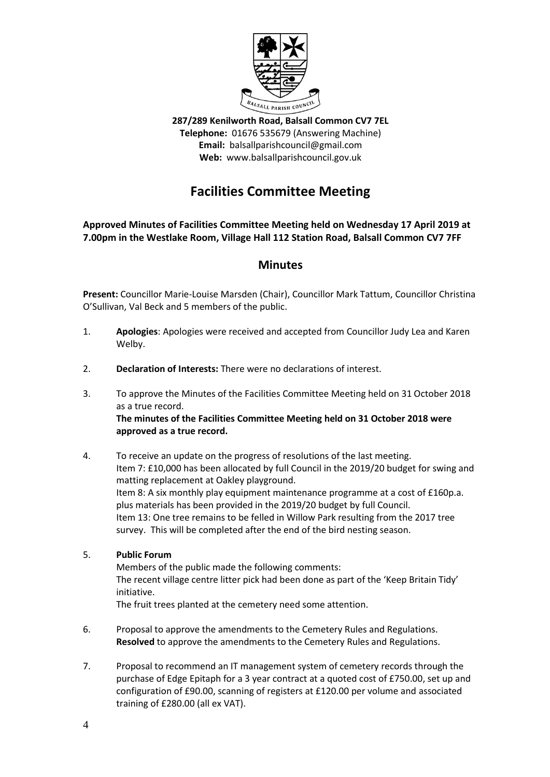

**287/289 Kenilworth Road, Balsall Common CV7 7EL Telephone:** 01676 535679 (Answering Machine) **Email:** balsallparishcouncil@gmail.com **Web:** www.balsallparishcouncil.gov.uk

# **Facilities Committee Meeting**

#### **Approved Minutes of Facilities Committee Meeting held on Wednesday 17 April 2019 at 7.00pm in the Westlake Room, Village Hall 112 Station Road, Balsall Common CV7 7FF**

### **Minutes**

**Present:** Councillor Marie-Louise Marsden (Chair), Councillor Mark Tattum, Councillor Christina O'Sullivan, Val Beck and 5 members of the public.

- 1. **Apologies**: Apologies were received and accepted from Councillor Judy Lea and Karen Welby.
- 2. **Declaration of Interests:** There were no declarations of interest.
- 3. To approve the Minutes of the Facilities Committee Meeting held on 31 October 2018 as a true record. **The minutes of the Facilities Committee Meeting held on 31 October 2018 were approved as a true record.**
- 4. To receive an update on the progress of resolutions of the last meeting. Item 7: £10,000 has been allocated by full Council in the 2019/20 budget for swing and matting replacement at Oakley playground. Item 8: A six monthly play equipment maintenance programme at a cost of £160p.a. plus materials has been provided in the 2019/20 budget by full Council. Item 13: One tree remains to be felled in Willow Park resulting from the 2017 tree survey. This will be completed after the end of the bird nesting season.
- 5. **Public Forum**

Members of the public made the following comments: The recent village centre litter pick had been done as part of the 'Keep Britain Tidy' initiative.

The fruit trees planted at the cemetery need some attention.

- 6. Proposal to approve the amendments to the Cemetery Rules and Regulations. **Resolved** to approve the amendments to the Cemetery Rules and Regulations.
- 7. Proposal to recommend an IT management system of cemetery records through the purchase of Edge Epitaph for a 3 year contract at a quoted cost of £750.00, set up and configuration of £90.00, scanning of registers at £120.00 per volume and associated training of £280.00 (all ex VAT).